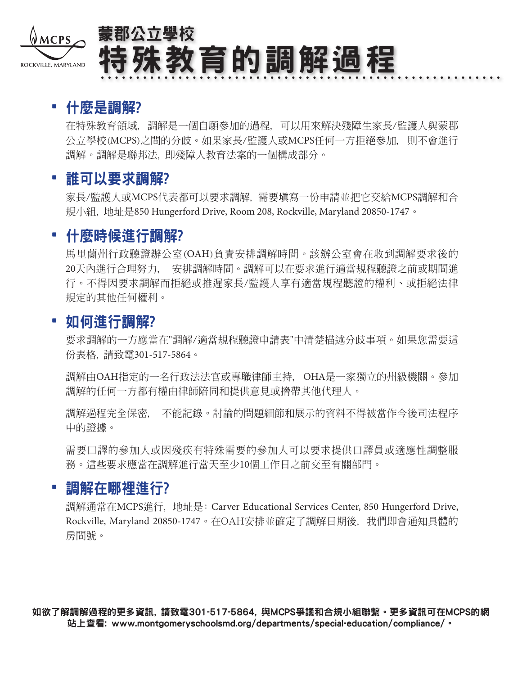

# 蒙郡公立學校 特殊教育的調解過程

# • 什麼是調解?

在特殊教育領域, 調解是一個自願參加的過程, 可以用來解決殘障生家長/監護人與蒙郡 公立學校(MCPS)之間的分歧。如果家長/監護人或MCPS任何一方拒絕參加, 則不會進行 調解。調解是聯邦法, 即殘障人教育法案的一個構成部分。

# • 誰可以要求調解?

家長/監護人或MCPS代表都可以要求調解, 需要填寫一份申請並把它交給MCPS調解和合 規小組, 地址是850 Hungerford Drive, Room 208, Rockville, Maryland 20850-1747。

# • 什麼時候進行調解?

馬里蘭州行政聽證辦公室(OAH)負責安排調解時間。該辦公室會在收到調解要求後的 20天內進行合理努力, 安排調解時間。調解可以在要求進行適當規程聽證之前或期間進 行。不得因要求調解而拒絕或推遲家長/監護人享有適當規程聽證的權利、或拒絕法律 規定的其他任何權利。

## • 如何進行調解?

要求調解的一方應當在"調解/適當規程聽證申請表"中清楚描述分歧事項。如果您需要這 份表格, 請致電301-517-5864。

調解由OAH指定的一名行政法法官或專職律師主持, OHA是一家獨立的州級機關。參加 調解的任何一方都有權由律師陪同和提供意見或搚帶其他代理人。

調解過程完全保密, 不能記錄。討論的問題細節和展示的資料不得被當作今後司法程序 中的證據。

需要口譯的參加人或因殘疾有特殊需要的參加人可以要求提供口譯員或適應性調整服 務。這些要求應當在調解進行當天至少10個工作日之前交至有關部門。

## • 調解在哪裡進行?

調解通常在MCPS進行, 地址是: Carver Educational Services Center, 850 Hungerford Drive, Rockville, Maryland 20850-1747。在OAH安排並確定了調解日期後, 我們即會通知具體的 房間號。

如欲了解調解過程的更多資訊, 請致電301-517-5864, 與MCPS爭議和合規小組聯繫。更多資訊可在MCPS的網 站上查看: www.montgomeryschoolsmd.org/departments/special-education/compliance/。